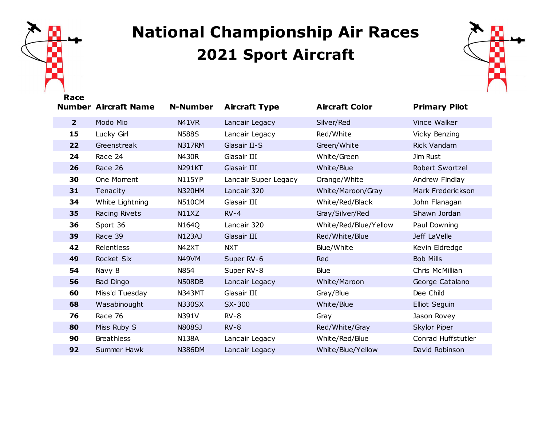

## **National Championship Air Races Sport Aircraft**



|                | <b>Number Aircraft Name</b> | <b>N-Number</b>    | <b>Aircraft Type</b> | <b>Aircraft Color</b> | <b>Primary Pilot</b> |
|----------------|-----------------------------|--------------------|----------------------|-----------------------|----------------------|
| 2 <sup>1</sup> | Modo Mio                    | N41VR              | Lancair Legacy       | Silver/Red            | Vince Walker         |
| 15             | Lucky Girl                  | <b>N588S</b>       | Lancair Legacy       | Red/White             | Vicky Benzing        |
| 22             | Greenstreak                 | N317RM             | Glasair II-S         | Green/White           | Rick Vandam          |
| 24             | Race 24                     | N430R              | Glasair III          | White/Green           | Jim Rust             |
| 26             | Race 26                     | <b>N291KT</b>      | Glasair III          | White/Blue            | Robert Swortzel      |
| 30             | One Moment                  | <b>N115YP</b>      | Lancair Super Legacy | Orange/White          | Andrew Findlay       |
| 31             | Tenacity                    | <b>N320HM</b>      | Lancair 320          | White/Maroon/Gray     | Mark Frederickson    |
| 34             | White Lightning             | <b>N510CM</b>      | Glasair III          | White/Red/Black       | John Flanagan        |
| 35             | Racing Rivets               | N11XZ              | $RV-4$               | Gray/Silver/Red       | Shawn Jordan         |
| 36             | Sport 36                    | N164Q              | Lancair 320          | White/Red/Blue/Yellow | Paul Downing         |
| 39             | Race 39                     | <b>N123AJ</b>      | Glasair III          | Red/White/Blue        | Jeff LaVelle         |
| 42             | Relentless                  | N42XT              | <b>NXT</b>           | Blue/White            | Kevin Eldredge       |
| 49             | Rocket Six                  | N <sub>49</sub> VM | Super RV-6           | Red                   | <b>Bob Mills</b>     |
| 54             | Navy 8                      | N854               | Super RV-8           | Blue                  | Chris McMillian      |
| 56             | Bad Dingo                   | <b>N508DB</b>      | Lancair Legacy       | White/Maroon          | George Catalano      |
| 60             | Miss'd Tuesday              | <b>N343MT</b>      | Glasair III          | Gray/Blue             | Dee Child            |
| 68             | Wasabinought                | <b>N330SX</b>      | SX-300               | White/Blue            | Elliot Seguin        |
| 76             | Race 76                     | N391V              | $RV-8$               | Gray                  | Jason Rovey          |
| 80             | Miss Ruby S                 | N808SJ             | $RV-8$               | Red/White/Gray        | Skylor Piper         |
| 90             | <b>Breathless</b>           | <b>N138A</b>       | Lancair Legacy       | White/Red/Blue        | Conrad Huffstutler   |
| 92             | Summer Hawk                 | <b>N386DM</b>      | Lancair Legacy       | White/Blue/Yellow     | David Robinson       |